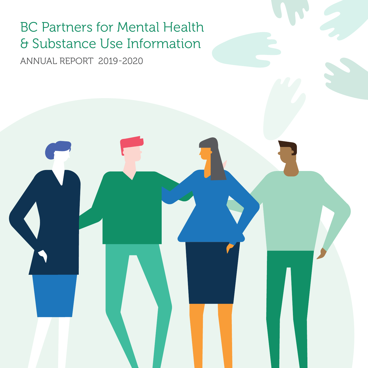# BC Partners for Mental Health & Substance Use Information

ANNUAL REPORT 2019-2020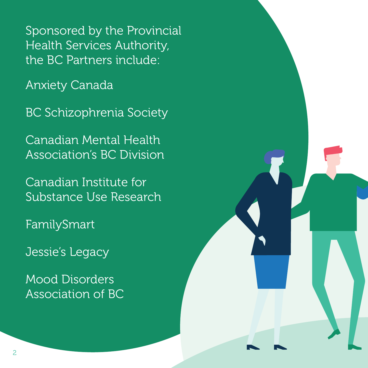Sponsored by the Provincial Health Services Authority, the BC Partners include:

Anxiety Canada

BC Schizophrenia Society

Canadian Mental Health Association's BC Division

Canadian Institute for Substance Use Research

FamilySmart

Jessie's Legacy

Mood Disorders Association of BC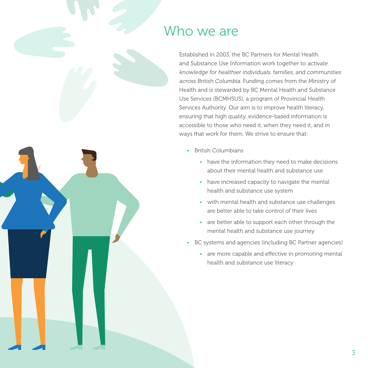### Who we are

Established in 2003, the BC Partners for Mental Health and Substance Use Information work together to activate knowledge for healthier individuals, families, and communities across British Columbia. Funding comes from the Ministry of Health and is stewarded by BC Mental Health and Substance Use Services (BCMHSUS), a program of Provincial Health Services Authority. Our aim is to improve health literacy, ensuring that high quality, evidence-based information is accessible to those who need it, when they need it, and in ways that work for them. We strive to ensure that:

- British Columbians
	- have the information they need to make decisions about their mental health and substance use
	- have increased capacity to navigate the mental health and substance use system
	- with mental health and substance use challenges are better able to take control of their lives
	- are better able to support each other through the mental health and substance use journey
- BC systems and agencies (including BC Partner agencies)
	- are more capable and effective in promoting mental health and substance use literacy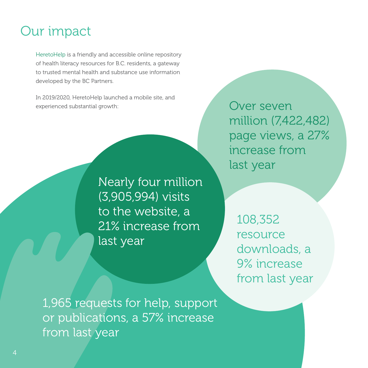## Our impact

HeretoHelp is a friendly and accessible online repository of health literacy resources for B.C. residents, a gateway to trusted mental health and substance use information developed by the BC Partners.

In 2019/2020, HeretoHelp launched a mobile site, and experienced substantial growth:

> Nearly four million (3,905,994) visits to the website, a 21% increase from last year

Over seven million (7,422,482) page views, a 27% increase from last year

108,352 resource downloads, a 9% increase from last year

1,965 requests for help, support or publications, a 57% increase from last year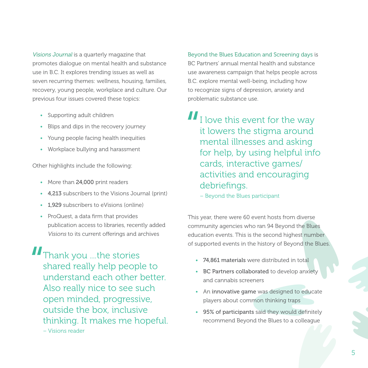Visions Journal is a quarterly magazine that promotes dialogue on mental health and substance use in B.C. It explores trending issues as well as seven recurring themes: wellness, housing, families, recovery, young people, workplace and culture. Our previous four issues covered these topics:

- Supporting adult children
- Blips and dips in the recovery journey
- Young people facing health inequities
- Workplace bullying and harassment

Other highlights include the following:

- More than 24,000 print readers
- 4,213 subscribers to the Visions Journal (print)
- 1,929 subscribers to eVisions (online)
- ProQuest, a data firm that provides publication access to libraries, recently added Visions to its current offerings and archives

**II** Thank you ...the stories shared really help people to understand each other better. Also really nice to see such open minded, progressive, outside the box, inclusive thinking. It makes me hopeful.

– Visions reader

Beyond the Blues Education and Screening days is BC Partners' annual mental health and substance use awareness campaign that helps people across B.C. explore mental well-being, including how to recognize signs of depression, anxiety and problematic substance use.

- $II<sub>I</sub>$  love this event for the way it lowers the stigma around mental illnesses and asking for help, by using helpful info cards, interactive games/ activities and encouraging debriefings.
	- Beyond the Blues participant

This year, there were 60 event hosts from diverse community agencies who ran 94 Beyond the Blues education events. This is the second highest number of supported events in the history of Beyond the Blues.

- 74,861 materials were distributed in total
- BC Partners collaborated to develop anxiety and cannabis screeners
- An innovative game was designed to educate players about common thinking traps
- 95% of participants said they would definitely recommend Beyond the Blues to a colleague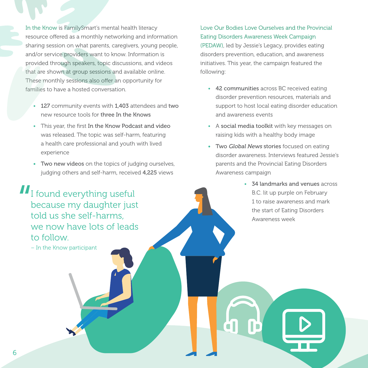In the Know is FamilySmart's mental health literacy resource offered as a monthly networking and information sharing session on what parents, caregivers, young people, and/or service providers want to know. Information is provided through speakers, topic discussions, and videos that are shown at group sessions and available online. These monthly sessions also offer an opportunity for families to have a hosted conversation.

- 127 community events with 1,403 attendees and two new resource tools for three In the Knows
- This year, the first In the Know Podcast and video was released. The topic was self-harm, featuring a health care professional and youth with lived experience
- Two new videos on the topics of judging ourselves, judging others and self-harm, received 4,225 views

Eating Disorders Awareness Week Campaign (PEDAW), led by Jessie's Legacy, provides eating disorders prevention, education, and awareness initiatives. This year, the campaign featured the following:

Love Our Bodies Love Ourselves and the Provincial

- 42 communities across BC received eating disorder prevention resources, materials and support to host local eating disorder education and awareness events
- A social media toolkit with key messages on raising kids with a healthy body image
- Two Global News stories focused on eating disorder awareness. Interviews featured Jessie's parents and the Provincial Eating Disorders Awareness campaign
	- 34 landmarks and venues across B.C. lit up purple on February 1 to raise awareness and mark the start of Eating Disorders Awareness week

II I found everything useful because my daughter just told us she self-harms, we now have lots of leads to follow.

– In the Know participant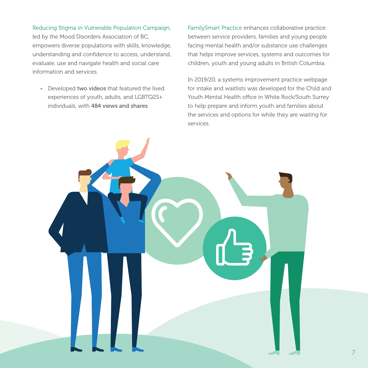#### Reducing Stigma in Vulnerable Population Campaign,

led by the Mood Disorders Association of BC, empowers diverse populations with skills, knowledge, understanding and confidence to access, understand, evaluate, use and navigate health and social care information and services.

• Developed two videos that featured the lived experiences of youth, adults, and LGBTQ2S+ individuals, with 484 views and shares

FamilySmart Practice enhances collaborative practice between service providers, families and young people facing mental health and/or substance use challenges that helps improve services, systems and outcomes for children, youth and young adults in British Columbia.

In 2019/20, a systems improvement practice webpage for intake and waitlists was developed for the Child and Youth Mental Health office in White Rock/South Surrey to help prepare and inform youth and families about the services and options for while they are waiting for services.

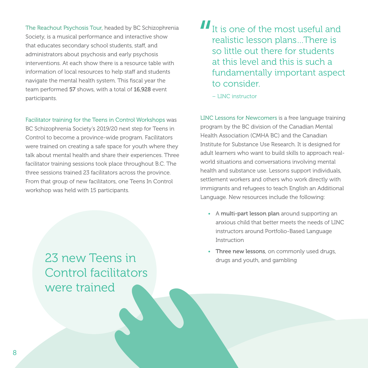The Reachout Psychosis Tour, headed by BC Schizophrenia Society, is a musical performance and interactive show that educates secondary school students, staff, and administrators about psychosis and early psychosis interventions. At each show there is a resource table with information of local resources to help staff and students navigate the mental health system. This fiscal year the team performed 57 shows, with a total of 16,928 event participants.

Facilitator training for the Teens in Control Workshops was

BC Schizophrenia Society's 2019/20 next step for Teens in Control to become a province-wide program. Facilitators were trained on creating a safe space for youth where they talk about mental health and share their experiences. Three facilitator training sessions took place throughout B.C. The three sessions trained 23 facilitators across the province. From that group of new facilitators, one Teens In Control workshop was held with 15 participants.

> 23 new Teens in Control facilitators were trained

 $II$ <sub>It is one of the most useful and</sub> realistic lesson plans…There is so little out there for students at this level and this is such a fundamentally important aspect to consider.

– LINC instructor

LINC Lessons for Newcomers is a free language training program by the BC division of the Canadian Mental Health Association (CMHA BC) and the Canadian Institute for Substance Use Research. It is designed for adult learners who want to build skills to approach realworld situations and conversations involving mental health and substance use. Lessons support individuals, settlement workers and others who work directly with immigrants and refugees to teach English an Additional Language. New resources include the following:

- A multi-part lesson plan around supporting an anxious child that better meets the needs of LINC instructors around Portfolio-Based Language Instruction
- Three new lessons, on commonly used drugs, drugs and youth, and gambling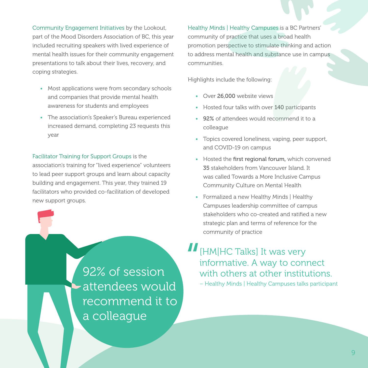Community Engagement Initiatives by the Lookout, part of the Mood Disorders Association of BC, this year included recruiting speakers with lived experience of mental health issues for their community engagement presentations to talk about their lives, recovery, and coping strategies.

- Most applications were from secondary schools and companies that provide mental health awareness for students and employees
- The association's Speaker's Bureau experienced increased demand, completing 23 requests this year

#### Facilitator Training for Support Groups is the

association's training for "lived experience" volunteers to lead peer support groups and learn about capacity building and engagement. This year, they trained 19 facilitators who provided co-facilitation of developed new support groups.

> 92% of session attendees would recommend it to a colleague

Healthy Minds | Healthy Campuses is a BC Partners' community of practice that uses a broad health promotion perspective to stimulate thinking and action to address mental health and substance use in campus communities.

Highlights include the following:

- Over 26,000 website views
- Hosted four talks with over 140 participants
- 92% of attendees would recommend it to a colleague
- Topics covered loneliness, vaping, peer support, and COVID-19 on campus
- Hosted the first regional forum, which convened 35 stakeholders from Vancouver Island. It was called Towards a More Inclusive Campus Community Culture on Mental Health
- Formalized a new Healthy Minds | Healthy Campuses leadership committee of campus stakeholders who co-created and ratified a new strategic plan and terms of reference for the community of practice
- II [HM|HC Talks] It was very informative. A way to connect with others at other institutions.
	- Healthy Minds | Healthy Campuses talks participant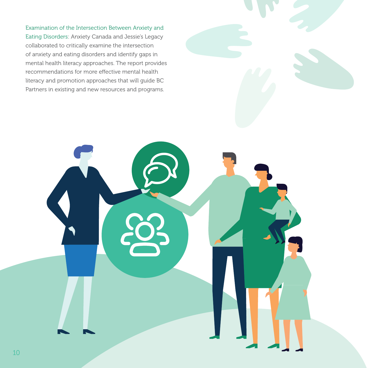Examination of the Intersection Between Anxiety and Eating Disorders: Anxiety Canada and Jessie's Legacy collaborated to critically examine the intersection of anxiety and eating disorders and identify gaps in mental health literacy approaches. The report provides recommendations for more effective mental health literacy and promotion approaches that will guide BC Partners in existing and new resources and programs.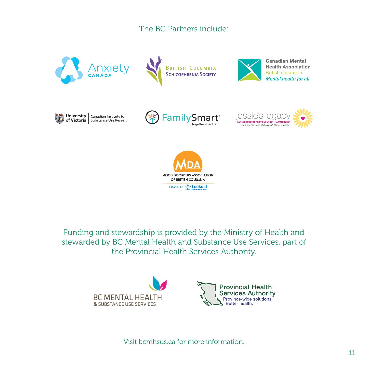### The BC Partners include:



Funding and stewardship is provided by the Ministry of Health and stewarded by BC Mental Health and Substance Use Services, part of the Provincial Health Services Authority.



Visit bcmhsus.ca for more information.